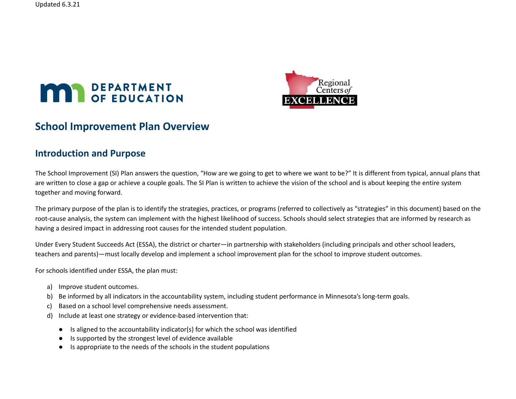



# **School Improvement Plan Overview**

## **Introduction and Purpose**

The School Improvement (SI) Plan answers the question, "How are we going to get to where we want to be?" It is different from typical, annual plans that are written to close a gap or achieve a couple goals. The SI Plan is written to achieve the vision of the school and is about keeping the entire system together and moving forward.

The primary purpose of the plan is to identify the strategies, practices, or programs (referred to collectively as "strategies" in this document) based on the root-cause analysis, the system can implement with the highest likelihood of success. Schools should select strategies that are informed by research as having a desired impact in addressing root causes for the intended student population.

Under Every Student Succeeds Act (ESSA), the district or charter—in partnership with stakeholders (including principals and other school leaders, teachers and parents)—must locally develop and implement a school improvement plan for the school to improve student outcomes.

For schools identified under ESSA, the plan must:

- a) Improve student outcomes.
- b) Be informed by all indicators in the accountability system, including student performance in Minnesota's long-term goals.
- c) Based on a school level comprehensive needs assessment.
- d) Include at least one strategy or evidence-based intervention that:
	- Is aligned to the accountability indicator(s) for which the school was identified
	- Is supported by the strongest level of evidence available
	- Is appropriate to the needs of the schools in the student populations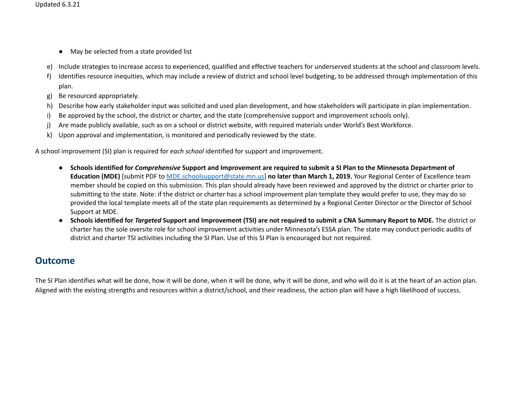- May be selected from a state provided list
- e) Include strategies to increase access to experienced, qualified and effective teachers for underserved students at the school and classroom levels.
- f) Identifies resource inequities, which may include a review of district and school level budgeting, to be addressed through implementation of this plan.
- g) Be resourced appropriately.
- h) Describe how early stakeholder input was solicited and used plan development, and how stakeholders will participate in plan implementation.
- i) Be approved by the school, the district or charter, and the state (comprehensive support and improvement schools only).
- j) Are made publicly available, such as on a school or district website, with required materials under World's Best Workforce.
- k) Upon approval and implementation, is monitored and periodically reviewed by the state.

A school improvement (SI) plan is required for *each school* identified for support and improvement.

- Schools identified for Comprehensive Support and Improvement are required to submit a SI Plan to the Minnesota Department of **Education (MDE)** [submit PDF to [MDE.schoolsupport@state.mn.us](mailto:MDE.schoolsupport@state.mn.us)] **no later than March 1, 2019.** Your Regional Center of Excellence team member should be copied on this submission. This plan should already have been reviewed and approved by the district or charter prior to submitting to the state. Note: if the district or charter has a school improvement plan template they would prefer to use, they may do so provided the local template meets all of the state plan requirements as determined by a Regional Center Director or the Director of School Support at MDE.
- Schools identified for Targeted Support and Improvement (TSI) are not required to submit a CNA Summary Report to MDE. The district or charter has the sole oversite role for school improvement activities under Minnesota's ESSA plan. The state may conduct periodic audits of district and charter TSI activities including the SI Plan. Use of this SI Plan is encouraged but not required.

# **Outcome**

The SI Plan identifies what will be done, how it will be done, when it will be done, why it will be done, and who will do it is at the heart of an action plan. Aligned with the existing strengths and resources within a district/school, and their readiness, the action plan will have a high likelihood of success.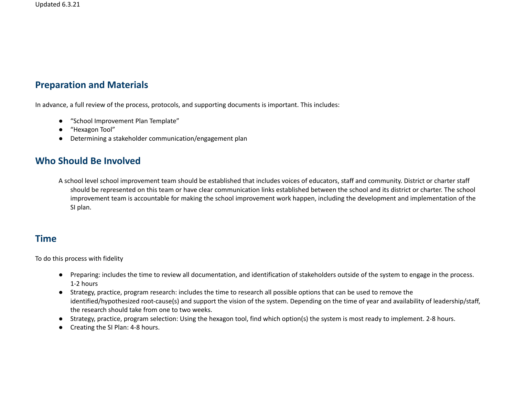## **Preparation and Materials**

In advance, a full review of the process, protocols, and supporting documents is important. This includes:

- "School Improvement Plan Template"
- "Hexagon Tool"
- Determining a stakeholder communication/engagement plan

## **Who Should Be Involved**

A school level school improvement team should be established that includes voices of educators, staff and community. District or charter staff should be represented on this team or have clear communication links established between the school and its district or charter. The school improvement team is accountable for making the school improvement work happen, including the development and implementation of the SI plan.

## **Time**

To do this process with fidelity

- Preparing: includes the time to review all documentation, and identification of stakeholders outside of the system to engage in the process. 1-2 hours
- Strategy, practice, program research: includes the time to research all possible options that can be used to remove the identified/hypothesized root-cause(s) and support the vision of the system. Depending on the time of year and availability of leadership/staff, the research should take from one to two weeks.
- Strategy, practice, program selection: Using the hexagon tool, find which option(s) the system is most ready to implement. 2-8 hours.
- Creating the SI Plan: 4-8 hours.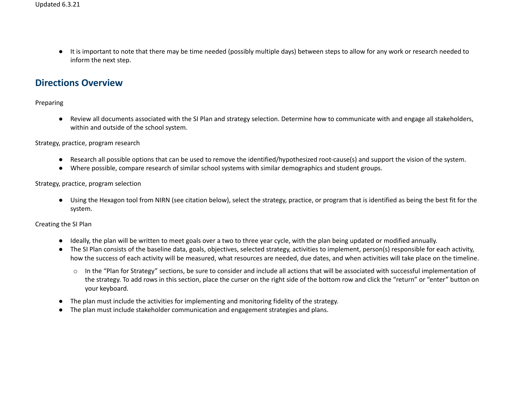● It is important to note that there may be time needed (possibly multiple days) between steps to allow for any work or research needed to inform the next step.

## **Directions Overview**

### Preparing

● Review all documents associated with the SI Plan and strategy selection. Determine how to communicate with and engage all stakeholders, within and outside of the school system.

#### Strategy, practice, program research

- Research all possible options that can be used to remove the identified/hypothesized root-cause(s) and support the vision of the system.
- Where possible, compare research of similar school systems with similar demographics and student groups.

#### Strategy, practice, program selection

● Using the Hexagon tool from NIRN (see citation below), select the strategy, practice, or program that is identified as being the best fit for the system.

Creating the SI Plan

- Ideally, the plan will be written to meet goals over a two to three year cycle, with the plan being updated or modified annually.
- The SI Plan consists of the baseline data, goals, objectives, selected strategy, activities to implement, person(s) responsible for each activity, how the success of each activity will be measured, what resources are needed, due dates, and when activities will take place on the timeline.
	- o In the "Plan for Strategy" sections, be sure to consider and include all actions that will be associated with successful implementation of the strategy. To add rows in this section, place the curser on the right side of the bottom row and click the "return" or "enter" button on your keyboard.
- The plan must include the activities for implementing and monitoring fidelity of the strategy.
- The plan must include stakeholder communication and engagement strategies and plans.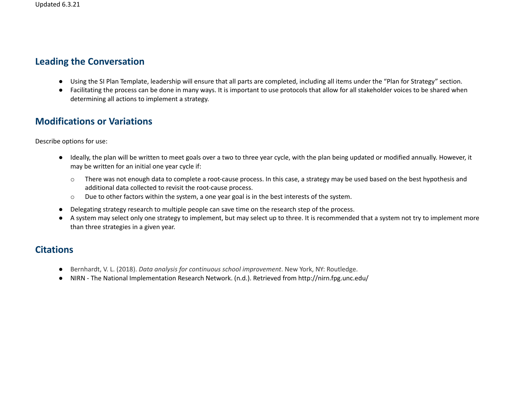## **Leading the Conversation**

- Using the SI Plan Template, leadership will ensure that all parts are completed, including all items under the "Plan for Strategy" section.
- Facilitating the process can be done in many ways. It is important to use protocols that allow for all stakeholder voices to be shared when determining all actions to implement a strategy.

# **Modifications or Variations**

Describe options for use:

- Ideally, the plan will be written to meet goals over a two to three year cycle, with the plan being updated or modified annually. However, it may be written for an initial one year cycle if:
	- o There was not enough data to complete a root-cause process. In this case, a strategy may be used based on the best hypothesis and additional data collected to revisit the root-cause process.
	- o Due to other factors within the system, a one year goal is in the best interests of the system.
- Delegating strategy research to multiple people can save time on the research step of the process.
- A system may select only one strategy to implement, but may select up to three. It is recommended that a system not try to implement more than three strategies in a given year.

# **Citations**

- Bernhardt, V. L. (2018). *Data analysis for continuous school improvement*. New York, NY: Routledge.
- NIRN The National Implementation Research Network. (n.d.). Retrieved from http://nirn.fpg.unc.edu/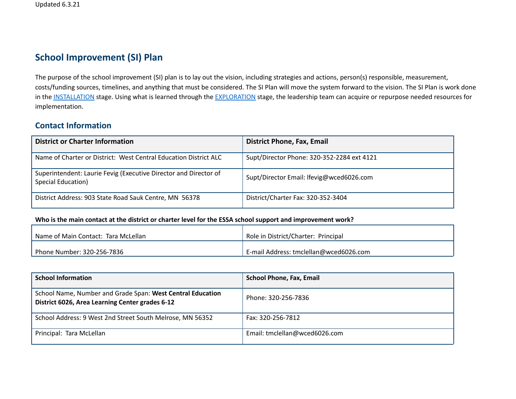# **School Improvement (SI) Plan**

The purpose of the school improvement (SI) plan is to lay out the vision, including strategies and actions, person(s) responsible, measurement, costs/funding sources, timelines, and anything that must be considered. The SI Plan will move the system forward to the vision. The SI Plan is work done in the [INSTALLATION](http://nirn.fpg.unc.edu/learn-implementation/implementation-stages/installation) stage. Using what is learned through the [EXPLORATION](http://nirn.fpg.unc.edu/learn-implementation/implementation-stages/exploration) stage, the leadership team can acquire or repurpose needed resources for implementation.

### **Contact Information**

| <b>District or Charter Information</b>                                                 | <b>District Phone, Fax, Email</b>          |
|----------------------------------------------------------------------------------------|--------------------------------------------|
| Name of Charter or District: West Central Education District ALC                       | Supt/Director Phone: 320-352-2284 ext 4121 |
| Superintendent: Laurie Fevig (Executive Director and Director of<br>Special Education) | Supt/Director Email: Ifevig@wced6026.com   |
| District Address: 903 State Road Sauk Centre, MN 56378                                 | District/Charter Fax: 320-352-3404         |

#### Who is the main contact at the district or charter level for the ESSA school support and improvement work?

| l Name of Main Contact: Tara McLellan     | Role in District/Charter: Principal    |
|-------------------------------------------|----------------------------------------|
| <sup>1</sup> Phone Number: 320-256-7836 · | E-mail Address: tmclellan@wced6026.com |

| <b>School Information</b>                                                                                     | <b>School Phone, Fax, Email</b> |
|---------------------------------------------------------------------------------------------------------------|---------------------------------|
| School Name, Number and Grade Span: West Central Education<br>District 6026, Area Learning Center grades 6-12 | Phone: 320-256-7836             |
| School Address: 9 West 2nd Street South Melrose, MN 56352                                                     | Fax: 320-256-7812               |
| Principal: Tara McLellan                                                                                      | Email: tmclellan@wced6026.com   |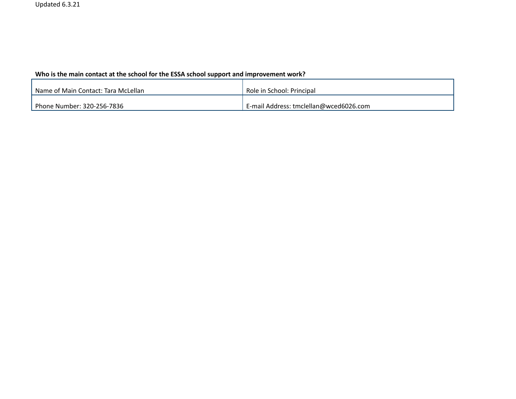### **Who is the main contact at the school for the ESSA school support and improvement work?**

| Name of Main Contact: Tara McLellan | Role in School: Principal              |
|-------------------------------------|----------------------------------------|
| Phone Number: 320-256-7836          | E-mail Address: tmclellan@wced6026.com |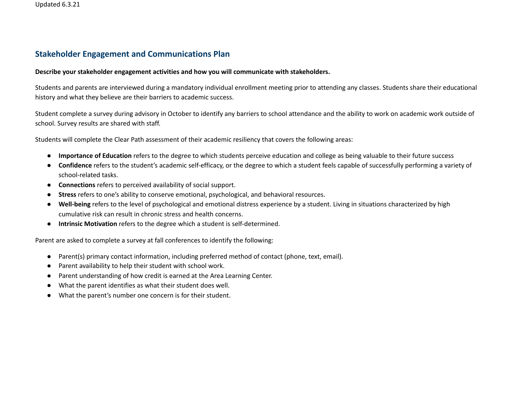### **Stakeholder Engagement and Communications Plan**

#### **Describe your stakeholder engagement activities and how you will communicate with stakeholders.**

Students and parents are interviewed during a mandatory individual enrollment meeting prior to attending any classes. Students share their educational history and what they believe are their barriers to academic success.

Student complete a survey during advisory in October to identify any barriers to school attendance and the ability to work on academic work outside of school. Survey results are shared with staff.

Students will complete the Clear Path assessment of their academic resiliency that covers the following areas:

- **Importance of Education** refers to the degree to which students perceive education and college as being valuable to their future success
- **Confidence** refers to the student's academic self-efficacy, or the degree to which a student feels capable of successfully performing a variety of school-related tasks.
- **Connections** refers to perceived availability of social support.
- **Stress** refers to one's ability to conserve emotional, psychological, and behavioral resources.
- **Well-being** refers to the level of psychological and emotional distress experience by a student. Living in situations characterized by high cumulative risk can result in chronic stress and health concerns.
- **● Intrinsic Motivation** refers to the degree which a student is self-determined.

Parent are asked to complete a survey at fall conferences to identify the following:

- Parent(s) primary contact information, including preferred method of contact (phone, text, email).
- Parent availability to help their student with school work.
- Parent understanding of how credit is earned at the Area Learning Center.
- What the parent identifies as what their student does well.
- What the parent's number one concern is for their student.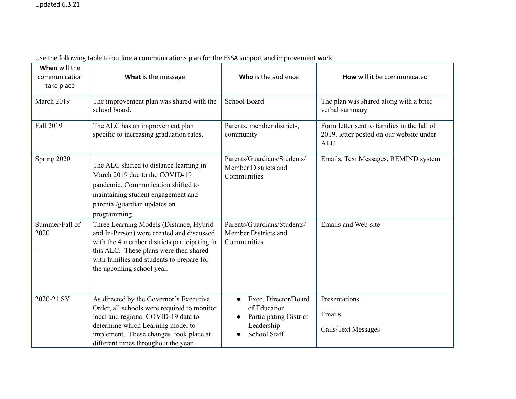| When will the<br>communication<br>take place | What is the message                                                                                                                                                                                                                                      | Who is the audience                                                                                              | How will it be communicated                                                                           |
|----------------------------------------------|----------------------------------------------------------------------------------------------------------------------------------------------------------------------------------------------------------------------------------------------------------|------------------------------------------------------------------------------------------------------------------|-------------------------------------------------------------------------------------------------------|
| March 2019                                   | The improvement plan was shared with the<br>school board.                                                                                                                                                                                                | School Board                                                                                                     | The plan was shared along with a brief<br>verbal summary                                              |
| Fall 2019                                    | The ALC has an improvement plan<br>specific to increasing graduation rates.                                                                                                                                                                              | Parents, member districts,<br>community                                                                          | Form letter sent to families in the fall of<br>2019, letter posted on our website under<br><b>ALC</b> |
| Spring 2020                                  | The ALC shifted to distance learning in<br>March 2019 due to the COVID-19<br>pandemic. Communication shifted to<br>maintaining student engagement and<br>parental/guardian updates on<br>programming.                                                    | Parents/Guardians/Students/<br>Member Districts and<br>Communities                                               | Emails, Text Messages, REMIND system                                                                  |
| Summer/Fall of<br>2020                       | Three Learning Models (Distance, Hybrid<br>and In-Person) were created and discussed<br>with the 4 member districts participating in<br>this ALC. These plans were then shared<br>with families and students to prepare for<br>the upcoming school year. | Parents/Guardians/Students/<br>Member Districts and<br>Communities                                               | <b>Emails and Web-site</b>                                                                            |
| 2020-21 SY                                   | As directed by the Governor's Executive<br>Order, all schools were required to monitor<br>local and regional COVID-19 data to<br>determine which Learning model to<br>implement. These changes took place at<br>different times throughout the year.     | Exec. Director/Board<br>of Education<br><b>Participating District</b><br>$\bullet$<br>Leadership<br>School Staff | Presentations<br>Emails<br>Calls/Text Messages                                                        |

Use the following table to outline a communications plan for the ESSA support and improvement work.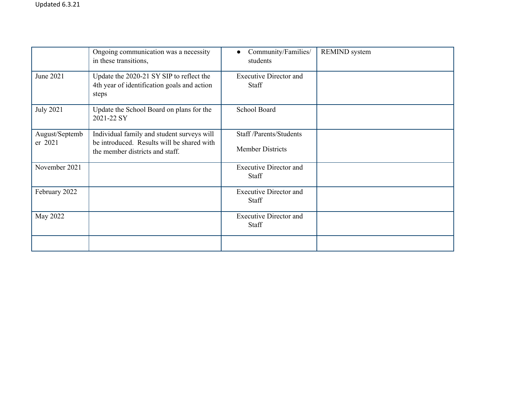|                           | Ongoing communication was a necessity<br>in these transitions,                                                              | Community/Families/<br>$\bullet$<br>students      | <b>REMIND</b> system |
|---------------------------|-----------------------------------------------------------------------------------------------------------------------------|---------------------------------------------------|----------------------|
| June 2021                 | Update the 2020-21 SY SIP to reflect the<br>4th year of identification goals and action<br>steps                            | <b>Executive Director and</b><br>Staff            |                      |
| <b>July 2021</b>          | Update the School Board on plans for the<br>2021-22 SY                                                                      | School Board                                      |                      |
| August/Septemb<br>er 2021 | Individual family and student surveys will<br>be introduced. Results will be shared with<br>the member districts and staff. | Staff/Parents/Students<br><b>Member Districts</b> |                      |
| November 2021             |                                                                                                                             | <b>Executive Director and</b><br><b>Staff</b>     |                      |
| February 2022             |                                                                                                                             | <b>Executive Director and</b><br>Staff            |                      |
| May 2022                  |                                                                                                                             | <b>Executive Director and</b><br>Staff            |                      |
|                           |                                                                                                                             |                                                   |                      |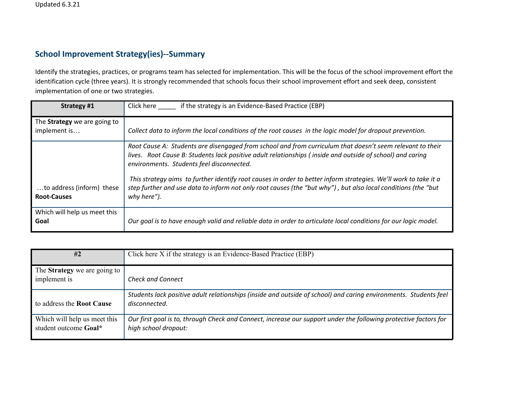### **School Improvement Strategy(ies)--Summary**

Identify the strategies, practices, or programs team has selected for implementation. This will be the focus of the school improvement effort the identification cycle (three years). It is strongly recommended that schools focus their school improvement effort and seek deep, consistent implementation of one or two strategies.

| Strategy #1                                         | if the strategy is an Evidence-Based Practice (EBP)<br>Click here                                                                                                                                                                                                   |
|-----------------------------------------------------|---------------------------------------------------------------------------------------------------------------------------------------------------------------------------------------------------------------------------------------------------------------------|
| The <b>Strategy</b> we are going to<br>implement is | Collect data to inform the local conditions of the root causes in the logic model for dropout prevention.                                                                                                                                                           |
|                                                     | Root Cause A: Students are disengaged from school and from curriculum that doesn't seem relevant to their<br>lives. Root Cause B: Students lack positive adult relationships (inside and outside of school) and caring<br>environments. Students feel disconnected. |
| to address (inform) these<br><b>Root-Causes</b>     | This strategy aims to further identify root causes in order to better inform strategies. We'll work to take it a<br>step further and use data to inform not only root causes (the "but why"), but also local conditions (the "but<br>why here").                    |
| Which will help us meet this<br>Goal                | Our goal is to have enough valid and reliable data in order to articulate local conditions for our logic model.                                                                                                                                                     |

| #2                                                    | Click here X if the strategy is an Evidence-Based Practice (EBP)                                                                         |
|-------------------------------------------------------|------------------------------------------------------------------------------------------------------------------------------------------|
| The <b>Strategy</b> we are going to<br>implement is   | <b>Check and Connect</b>                                                                                                                 |
| to address the <b>Root Cause</b>                      | Students lack positive adult relationships (inside and outside of school) and caring environments. Students feel<br>disconnected.        |
| Which will help us meet this<br>student outcome Goal* | Our first goal is to, through Check and Connect, increase our support under the following protective factors for<br>high school dropout: |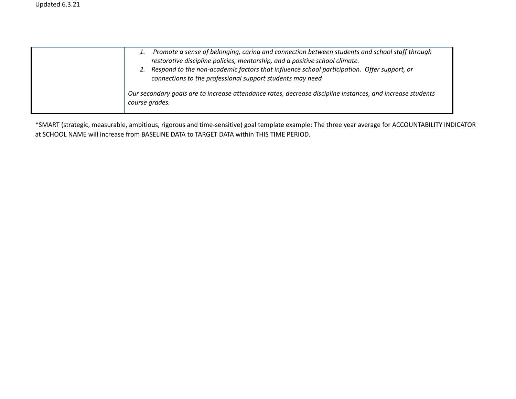| Promote a sense of belonging, caring and connection between students and school staff through<br>restorative discipline policies, mentorship, and a positive school climate.<br>2. Respond to the non-academic factors that influence school participation. Offer support, or<br>connections to the professional support students may need |
|--------------------------------------------------------------------------------------------------------------------------------------------------------------------------------------------------------------------------------------------------------------------------------------------------------------------------------------------|
| Our secondary goals are to increase attendance rates, decrease discipline instances, and increase students<br>course grades.                                                                                                                                                                                                               |

\*SMART (strategic, measurable, ambitious, rigorous and time-sensitive) goal template example: The three year average for ACCOUNTABILITY INDICATOR at SCHOOL NAME will increase from BASELINE DATA to TARGET DATA within THIS TIME PERIOD.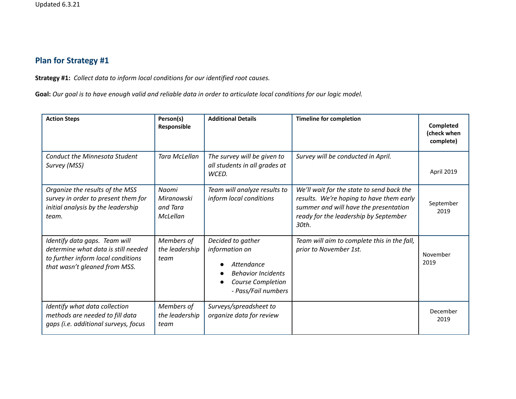# **Plan for Strategy #1**

**Strategy #1:** *Collect data to inform local conditions for our identified root causes.*

Goal: Our goal is to have enough valid and reliable data in order to articulate local conditions for our logic model.

| <b>Action Steps</b>                                                                                                                         | Person(s)<br>Responsible                    | <b>Additional Details</b>                                                                                                  | <b>Timeline for completion</b>                                                                                                                                                   | <b>Completed</b><br>(check when<br>complete) |
|---------------------------------------------------------------------------------------------------------------------------------------------|---------------------------------------------|----------------------------------------------------------------------------------------------------------------------------|----------------------------------------------------------------------------------------------------------------------------------------------------------------------------------|----------------------------------------------|
| <b>Conduct the Minnesota Student</b><br>Survey (MSS)                                                                                        | Tara McLellan                               | The survey will be given to<br>all students in all grades at<br>WCED.                                                      | Survey will be conducted in April.                                                                                                                                               | April 2019                                   |
| Organize the results of the MSS<br>survey in order to present them for<br>initial analysis by the leadership<br>team.                       | Naomi<br>Miranowski<br>and Tara<br>McLellan | Team will analyze results to<br>inform local conditions                                                                    | We'll wait for the state to send back the<br>results. We're hoping to have them early<br>summer and will have the presentation<br>ready for the leadership by September<br>30th. | September<br>2019                            |
| Identify data gaps. Team will<br>determine what data is still needed<br>to further inform local conditions<br>that wasn't gleaned from MSS. | Members of<br>the leadership<br>team        | Decided to gather<br>information on<br>Attendance<br><b>Behavior Incidents</b><br>Course Completion<br>- Pass/Fail numbers | Team will aim to complete this in the fall,<br>prior to November 1st.                                                                                                            | November<br>2019                             |
| Identify what data collection<br>methods are needed to fill data<br>gaps (i.e. additional surveys, focus                                    | Members of<br>the leadership<br>team        | Surveys/spreadsheet to<br>organize data for review                                                                         |                                                                                                                                                                                  | December<br>2019                             |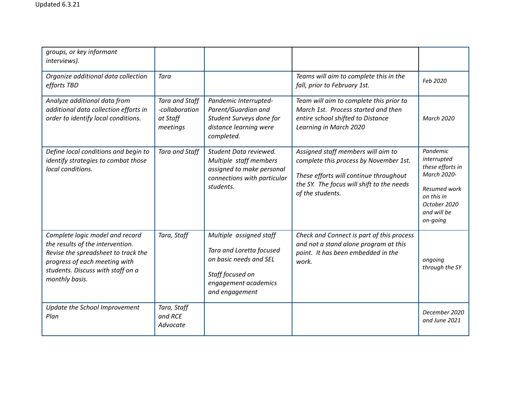| groups, or key informant<br>interviews).                                                                                                                                                           |                                                                 |                                                                                                                                             |                                                                                                                                                                                         |                                                                                                                                            |
|----------------------------------------------------------------------------------------------------------------------------------------------------------------------------------------------------|-----------------------------------------------------------------|---------------------------------------------------------------------------------------------------------------------------------------------|-----------------------------------------------------------------------------------------------------------------------------------------------------------------------------------------|--------------------------------------------------------------------------------------------------------------------------------------------|
| Organize additional data collection<br>efforts TBD                                                                                                                                                 | Tara                                                            |                                                                                                                                             | Teams will aim to complete this in the<br>fall, prior to February 1st.                                                                                                                  | Feb 2020                                                                                                                                   |
| Analyze additional data from<br>additional data collection efforts in<br>order to identify local conditions.                                                                                       | <b>Tara and Staff</b><br>-collaboration<br>at Staff<br>meetings | Pandemic Interrupted-<br>Parent/Guardian and<br>Student Surveys done for<br>distance learning were<br>completed.                            | Team will aim to complete this prior to<br>March 1st. Process started and then<br>entire school shifted to Distance<br>Learning in March 2020                                           | March 2020                                                                                                                                 |
| Define local conditions and begin to<br>identify strategies to combat those<br>local conditions.                                                                                                   | <b>Tara and Staff</b>                                           | Student Data reviewed.<br>Multiple staff members<br>assigned to make personal<br>connections with particular<br>students.                   | Assigned staff members will aim to<br>complete this process by November 1st.<br>These efforts will continue throughout<br>the SY. The focus will shift to the needs<br>of the students. | Pandemic<br>interrupted<br>these efforts in<br>March 2020-<br><b>Resumed work</b><br>on this in<br>October 2020<br>and will be<br>on-going |
| Complete logic model and record<br>the results of the intervention.<br>Revise the spreadsheet to track the<br>progress of each meeting with<br>students. Discuss with staff on a<br>monthly basis. | Tara, Staff                                                     | Multiple assigned staff<br>Tara and Loretta focused<br>on basic needs and SEL<br>Staff focused on<br>engagement academics<br>and engagement | Check and Connect is part of this process<br>and not a stand alone program at this<br>point. It has been embedded in the<br>work.                                                       | ongoing<br>through the SY                                                                                                                  |
| Update the School Improvement<br>Plan                                                                                                                                                              | Tara, Staff<br>and RCE<br>Advocate                              |                                                                                                                                             |                                                                                                                                                                                         | December 2020<br>and June 2021                                                                                                             |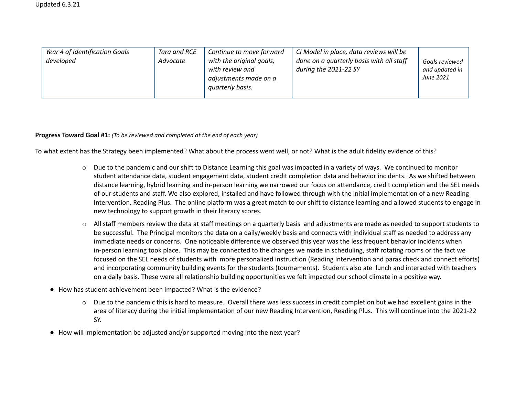| Year 4 of Identification Goals | Tara and RCE | Continue to move forward | CI Model in place, data reviews will be  |                |
|--------------------------------|--------------|--------------------------|------------------------------------------|----------------|
| developed                      | Advocate     | with the original goals, | done on a quarterly basis with all staff | Goals reviewed |
|                                |              | with review and          | during the 2021-22 SY                    | and updated in |
|                                |              | adjustments made on a    |                                          | June 2021      |
|                                |              | quarterly basis.         |                                          |                |
|                                |              |                          |                                          |                |

#### **Progress Toward Goal #1:** *(To be reviewed and completed at the end of each year)*

To what extent has the Strategy been implemented? What about the process went well, or not? What is the adult fidelity evidence of this?

- $\circ$  Due to the pandemic and our shift to Distance Learning this goal was impacted in a variety of ways. We continued to monitor student attendance data, student engagement data, student credit completion data and behavior incidents. As we shifted between distance learning, hybrid learning and in-person learning we narrowed our focus on attendance, credit completion and the SEL needs of our students and staff. We also explored, installed and have followed through with the initial implementation of a new Reading Intervention, Reading Plus. The online platform was a great match to our shift to distance learning and allowed students to engage in new technology to support growth in their literacy scores.
- o All staff members review the data at staff meetings on a quarterly basis and adjustments are made as needed to support students to be successful. The Principal monitors the data on a daily/weekly basis and connects with individual staff as needed to address any immediate needs or concerns. One noticeable difference we observed this year was the less frequent behavior incidents when in-person learning took place. This may be connected to the changes we made in scheduling, staff rotating rooms or the fact we focused on the SEL needs of students with more personalized instruction (Reading Intervention and paras check and connect efforts) and incorporating community building events for the students (tournaments). Students also ate lunch and interacted with teachers on a daily basis. These were all relationship building opportunities we felt impacted our school climate in a positive way.
- How has student achievement been impacted? What is the evidence?
	- $\circ$  Due to the pandemic this is hard to measure. Overall there was less success in credit completion but we had excellent gains in the area of literacy during the initial implementation of our new Reading Intervention, Reading Plus. This will continue into the 2021-22 SY.
- How will implementation be adjusted and/or supported moving into the next year?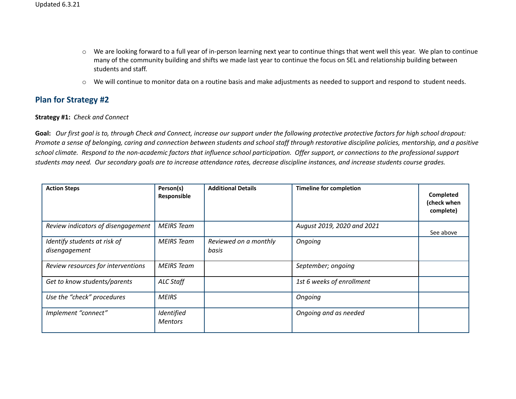- o We are looking forward to a full year of in-person learning next year to continue things that went well this year. We plan to continue many of the community building and shifts we made last year to continue the focus on SEL and relationship building between students and staff.
- o We will continue to monitor data on a routine basis and make adjustments as needed to support and respond to student needs.

### **Plan for Strategy #2**

#### **Strategy #1:** *Check and Connect*

Goal: Our first goal is to, through Check and Connect, increase our support under the following protective protective factors for high school dropout: Promote a sense of belonging, caring and connection between students and school staff through restorative discipline policies, mentorship, and a positive school climate. Respond to the non-academic factors that influence school participation. Offer support, or connections to the professional support students may need. Our secondary goals are to increase attendance rates, decrease discipline instances, and increase students course grades.

| <b>Action Steps</b>                           | Person(s)<br>Responsible     | <b>Additional Details</b>      | <b>Timeline for completion</b> | Completed<br>(check when<br>complete) |
|-----------------------------------------------|------------------------------|--------------------------------|--------------------------------|---------------------------------------|
| Review indicators of disengagement            | <b>MEIRS</b> Team            |                                | August 2019, 2020 and 2021     | See above                             |
| Identify students at risk of<br>disengagement | <b>MEIRS</b> Team            | Reviewed on a monthly<br>basis | Ongoing                        |                                       |
| Review resources for interventions            | MEIRS Team                   |                                | September; ongoing             |                                       |
| Get to know students/parents                  | <b>ALC Staff</b>             |                                | 1st 6 weeks of enrollment      |                                       |
| Use the "check" procedures                    | <b>MEIRS</b>                 |                                | Ongoing                        |                                       |
| Implement "connect"                           | Identified<br><b>Mentors</b> |                                | Ongoing and as needed          |                                       |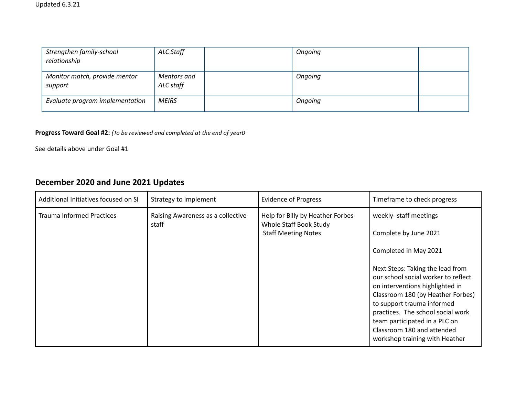| Strengthen family-school<br>relationship | ALC Staff                | Ongoing |  |
|------------------------------------------|--------------------------|---------|--|
| Monitor match, provide mentor<br>support | Mentors and<br>ALC staff | Ongoing |  |
| Evaluate program implementation          | <b>MEIRS</b>             | Ongoing |  |

### **Progress Toward Goal #2:** *(To be reviewed and completed at the end of year0*

See details above under Goal #1

# **December 2020 and June 2021 Updates**

| Additional Initiatives focused on SI | Strategy to implement                      | <b>Evidence of Progress</b>                                                              | Timeframe to check progress                                                                                                                                                                                                                                                                                                                                                                     |
|--------------------------------------|--------------------------------------------|------------------------------------------------------------------------------------------|-------------------------------------------------------------------------------------------------------------------------------------------------------------------------------------------------------------------------------------------------------------------------------------------------------------------------------------------------------------------------------------------------|
| <b>Trauma Informed Practices</b>     | Raising Awareness as a collective<br>staff | Help for Billy by Heather Forbes<br>Whole Staff Book Study<br><b>Staff Meeting Notes</b> | weekly- staff meetings<br>Complete by June 2021<br>Completed in May 2021<br>Next Steps: Taking the lead from<br>our school social worker to reflect<br>on interventions highlighted in<br>Classroom 180 (by Heather Forbes)<br>to support trauma informed<br>practices. The school social work<br>team participated in a PLC on<br>Classroom 180 and attended<br>workshop training with Heather |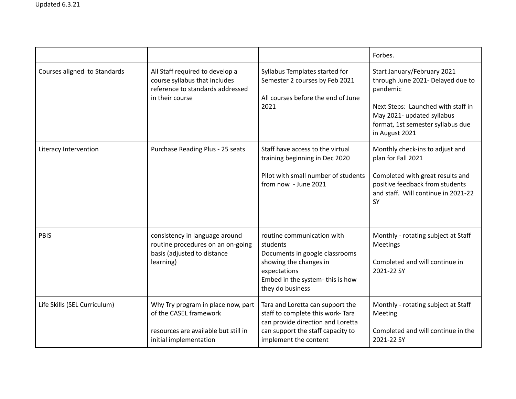|                              |                                                                                                                                |                                                                                                                                                                           | Forbes.                                                                                                                                                                                                 |
|------------------------------|--------------------------------------------------------------------------------------------------------------------------------|---------------------------------------------------------------------------------------------------------------------------------------------------------------------------|---------------------------------------------------------------------------------------------------------------------------------------------------------------------------------------------------------|
| Courses aligned to Standards | All Staff required to develop a<br>course syllabus that includes<br>reference to standards addressed<br>in their course        | Syllabus Templates started for<br>Semester 2 courses by Feb 2021<br>All courses before the end of June<br>2021                                                            | Start January/February 2021<br>through June 2021- Delayed due to<br>pandemic<br>Next Steps: Launched with staff in<br>May 2021- updated syllabus<br>format, 1st semester syllabus due<br>in August 2021 |
| Literacy Intervention        | Purchase Reading Plus - 25 seats                                                                                               | Staff have access to the virtual<br>training beginning in Dec 2020<br>Pilot with small number of students<br>from now - June 2021                                         | Monthly check-ins to adjust and<br>plan for Fall 2021<br>Completed with great results and<br>positive feedback from students<br>and staff. Will continue in 2021-22<br>SY                               |
| <b>PBIS</b>                  | consistency in language around<br>routine procedures on an on-going<br>basis (adjusted to distance<br>learning)                | routine communication with<br>students<br>Documents in google classrooms<br>showing the changes in<br>expectations<br>Embed in the system-this is how<br>they do business | Monthly - rotating subject at Staff<br>Meetings<br>Completed and will continue in<br>2021-22 SY                                                                                                         |
| Life Skills (SEL Curriculum) | Why Try program in place now, part<br>of the CASEL framework<br>resources are available but still in<br>initial implementation | Tara and Loretta can support the<br>staff to complete this work-Tara<br>can provide direction and Loretta<br>can support the staff capacity to<br>implement the content   | Monthly - rotating subject at Staff<br>Meeting<br>Completed and will continue in the<br>2021-22 SY                                                                                                      |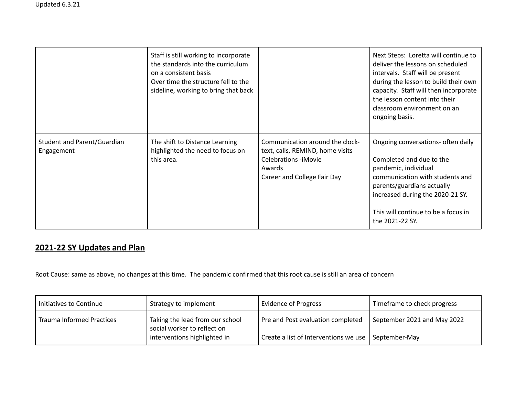|                                           | Staff is still working to incorporate<br>the standards into the curriculum<br>on a consistent basis<br>Over time the structure fell to the<br>sideline, working to bring that back |                                                                                                                                             | Next Steps: Loretta will continue to<br>deliver the lessons on scheduled<br>intervals. Staff will be present<br>during the lesson to build their own<br>capacity. Staff will then incorporate<br>the lesson content into their<br>classroom environment on an<br>ongoing basis. |
|-------------------------------------------|------------------------------------------------------------------------------------------------------------------------------------------------------------------------------------|---------------------------------------------------------------------------------------------------------------------------------------------|---------------------------------------------------------------------------------------------------------------------------------------------------------------------------------------------------------------------------------------------------------------------------------|
| Student and Parent/Guardian<br>Engagement | The shift to Distance Learning<br>highlighted the need to focus on<br>this area.                                                                                                   | Communication around the clock-<br>text, calls, REMIND, home visits<br><b>Celebrations -iMovie</b><br>Awards<br>Career and College Fair Day | Ongoing conversations- often daily<br>Completed and due to the<br>pandemic, individual<br>communication with students and<br>parents/guardians actually<br>increased during the 2020-21 SY.<br>This will continue to be a focus in<br>the 2021-22 SY.                           |

# **2021-22 SY Updates and Plan**

Root Cause: same as above, no changes at this time. The pandemic confirmed that this root cause is still an area of concern

| Initiatives to Continue          | Strategy to implement                                          | <b>Evidence of Progress</b>                                 | Timeframe to check progress |
|----------------------------------|----------------------------------------------------------------|-------------------------------------------------------------|-----------------------------|
| <b>Trauma Informed Practices</b> | Taking the lead from our school<br>social worker to reflect on | Pre and Post evaluation completed                           | September 2021 and May 2022 |
|                                  | interventions highlighted in                                   | Create a list of Interventions we use $\vert$ September-May |                             |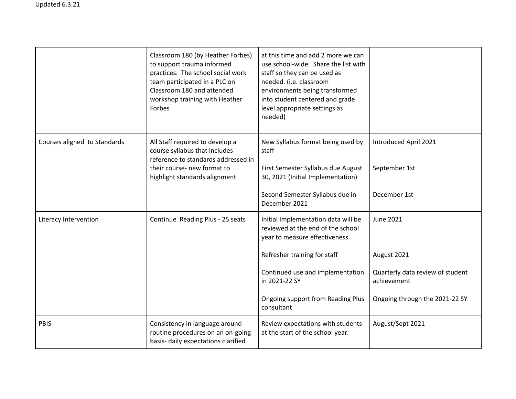|                              | Classroom 180 (by Heather Forbes)<br>to support trauma informed<br>practices. The school social work<br>team participated in a PLC on<br>Classroom 180 and attended<br>workshop training with Heather<br>Forbes | at this time and add 2 more we can<br>use school-wide. Share the list with<br>staff so they can be used as<br>needed. (i.e. classroom<br>environments being transformed<br>into student centered and grade<br>level appropriate settings as<br>needed) |                                                        |
|------------------------------|-----------------------------------------------------------------------------------------------------------------------------------------------------------------------------------------------------------------|--------------------------------------------------------------------------------------------------------------------------------------------------------------------------------------------------------------------------------------------------------|--------------------------------------------------------|
| Courses aligned to Standards | All Staff required to develop a<br>course syllabus that includes<br>reference to standards addressed in<br>their course- new format to<br>highlight standards alignment                                         | New Syllabus format being used by<br>staff<br>First Semester Syllabus due August<br>30, 2021 (Initial Implementation)<br>Second Semester Syllabus due in                                                                                               | Introduced April 2021<br>September 1st<br>December 1st |
|                              |                                                                                                                                                                                                                 | December 2021                                                                                                                                                                                                                                          |                                                        |
| Literacy Intervention        | Continue Reading Plus - 25 seats                                                                                                                                                                                | Initial Implementation data will be<br>reviewed at the end of the school<br>year to measure effectiveness                                                                                                                                              | <b>June 2021</b>                                       |
|                              |                                                                                                                                                                                                                 | Refresher training for staff                                                                                                                                                                                                                           | August 2021                                            |
|                              |                                                                                                                                                                                                                 | Continued use and implementation<br>in 2021-22 SY                                                                                                                                                                                                      | Quarterly data review of student<br>achievement        |
|                              |                                                                                                                                                                                                                 | Ongoing support from Reading Plus<br>consultant                                                                                                                                                                                                        | Ongoing through the 2021-22 SY                         |
| <b>PBIS</b>                  | Consistency in language around<br>routine procedures on an on-going<br>basis- daily expectations clarified                                                                                                      | Review expectations with students<br>at the start of the school year.                                                                                                                                                                                  | August/Sept 2021                                       |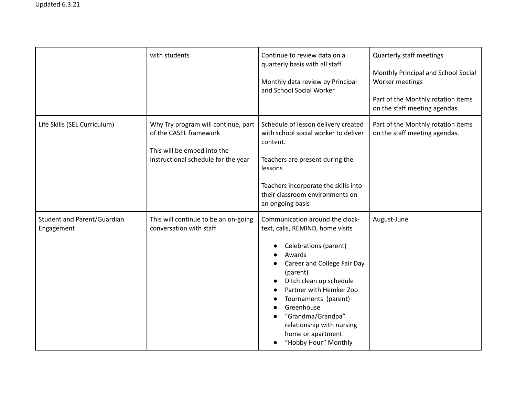|                                                  | with students                                                                                                                       | Continue to review data on a<br>quarterly basis with all staff<br>Monthly data review by Principal<br>and School Social Worker                                                                                                                                                                                                               | <b>Quarterly staff meetings</b><br>Monthly Principal and School Social<br>Worker meetings<br>Part of the Monthly rotation items<br>on the staff meeting agendas. |
|--------------------------------------------------|-------------------------------------------------------------------------------------------------------------------------------------|----------------------------------------------------------------------------------------------------------------------------------------------------------------------------------------------------------------------------------------------------------------------------------------------------------------------------------------------|------------------------------------------------------------------------------------------------------------------------------------------------------------------|
| Life Skills (SEL Curriculum)                     | Why Try program will continue, part<br>of the CASEL framework<br>This will be embed into the<br>instructional schedule for the year | Schedule of lesson delivery created<br>with school social worker to deliver<br>content.<br>Teachers are present during the<br>lessons<br>Teachers incorporate the skills into<br>their classroom environments on<br>an ongoing basis                                                                                                         | Part of the Monthly rotation items<br>on the staff meeting agendas.                                                                                              |
| <b>Student and Parent/Guardian</b><br>Engagement | This will continue to be an on-going<br>conversation with staff                                                                     | Communication around the clock-<br>text, calls, REMIND, home visits<br>Celebrations (parent)<br>Awards<br>Career and College Fair Day<br>(parent)<br>Ditch clean up schedule<br>Partner with Hemker Zoo<br>Tournaments (parent)<br>Greenhouse<br>"Grandma/Grandpa"<br>relationship with nursing<br>home or apartment<br>"Hobby Hour" Monthly | August-June                                                                                                                                                      |